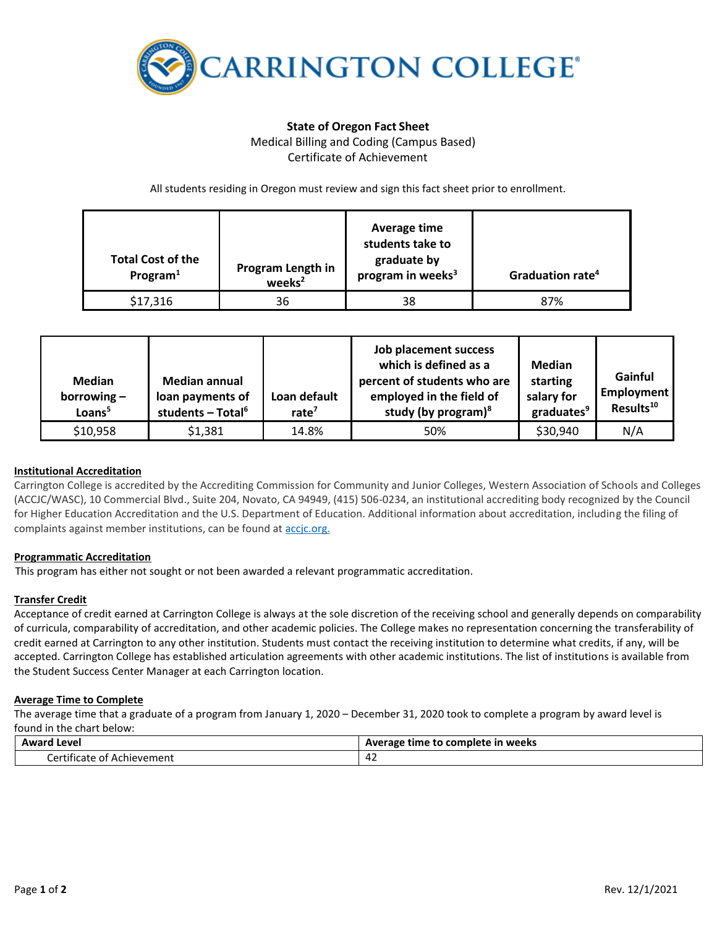

# **State of Oregon Fact Sheet** Medical Billing and Coding (Campus Based) Certificate of Achievement

All students residing in Oregon must review and sign this fact sheet prior to enrollment.

| <b>Total Cost of the</b><br>Program $1$ | Program Length in<br>weeks <sup>2</sup> | Average time<br>students take to<br>graduate by<br>program in weeks <sup>3</sup> | Graduation rate <sup>4</sup> |
|-----------------------------------------|-----------------------------------------|----------------------------------------------------------------------------------|------------------------------|
| \$17,316                                | 36                                      | 38                                                                               | 87%                          |

| <b>Median</b><br>borrowing $-$<br>Loans <sup>5</sup> | <b>Median annual</b><br>loan payments of<br>students - Total <sup>6</sup> | Loan default<br>rate $7$ | Job placement success<br>which is defined as a<br>percent of students who are<br>employed in the field of<br>study (by program) $8$ | Median<br>starting<br>salary for<br>graduates <sup>9</sup> | Gainful<br>Employment<br>Results <sup>10</sup> |
|------------------------------------------------------|---------------------------------------------------------------------------|--------------------------|-------------------------------------------------------------------------------------------------------------------------------------|------------------------------------------------------------|------------------------------------------------|
| \$10,958                                             | \$1,381                                                                   | 14.8%                    | 50%                                                                                                                                 | \$30,940                                                   | N/A                                            |

## **Institutional Accreditation**

Carrington College is accredited by the Accrediting Commission for Community and Junior Colleges, Western Association of Schools and Colleges (ACCJC/WASC), 10 Commercial Blvd., Suite 204, Novato, CA 94949, (415) 506-0234, an institutional accrediting body recognized by the Council for Higher Education Accreditation and the U.S. Department of Education. Additional information about accreditation, including the filing of complaints against member institutions, can be found a[t accjc.org.](http://www.accjc.org/)

## **Programmatic Accreditation**

This program has either not sought or not been awarded a relevant programmatic accreditation.

### **Transfer Credit**

Acceptance of credit earned at Carrington College is always at the sole discretion of the receiving school and generally depends on comparability of curricula, comparability of accreditation, and other academic policies. The College makes no representation concerning the transferability of credit earned at Carrington to any other institution. Students must contact the receiving institution to determine what credits, if any, will be accepted. Carrington College has established articulation agreements with other academic institutions. The list of institutions is available from the Student Success Center Manager at each Carrington location.

### **Average Time to Complete**

The average time that a graduate of a program from January 1, 2020 – December 31, 2020 took to complete a program by award level is found in the chart below:

| Award                                                    | . to complete in weeks |  |
|----------------------------------------------------------|------------------------|--|
| Level                                                    | Average time to        |  |
| .<br>-<br>orti'<br>: Achievement<br>:tificate<br>01<br>. | $\sim$<br>44 L         |  |